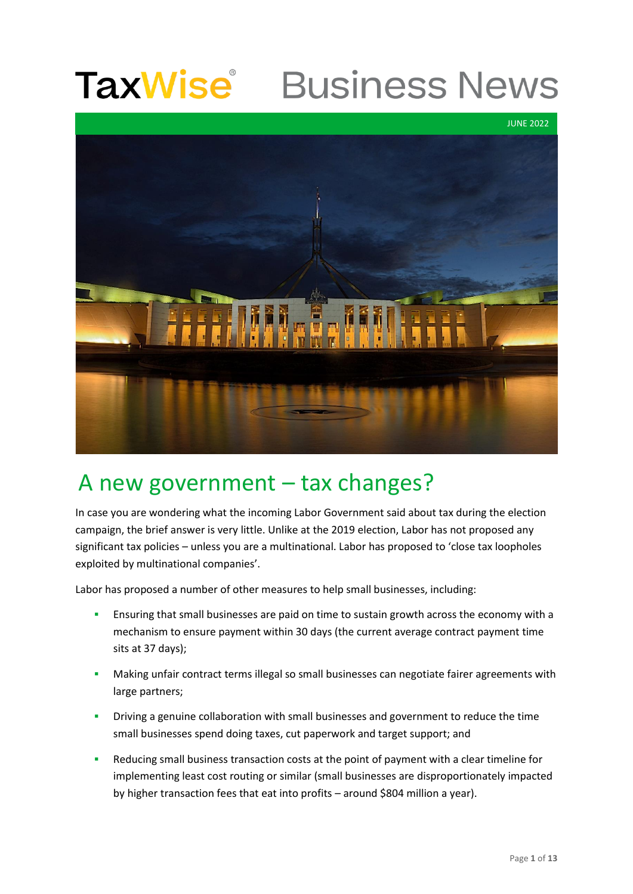### **TaxWise**® **Business News**



### A new government – tax changes?

In case you are wondering what the incoming Labor Government said about tax during the election campaign, the brief answer is very little. Unlike at the 2019 election, Labor has not proposed any significant tax policies – unless you are a multinational. Labor has proposed to 'close tax loopholes exploited by multinational companies'.

Labor has proposed a number of other measures to help small businesses, including:

- **■** Ensuring that small businesses are paid on time to sustain growth across the economy with a mechanism to ensure payment within 30 days (the current average contract payment time sits at 37 days);
- **▪** Making unfair contract terms illegal so small businesses can negotiate fairer agreements with large partners;
- **▪** Driving a genuine collaboration with small businesses and government to reduce the time small businesses spend doing taxes, cut paperwork and target support; and
- Reducing small business transaction costs at the point of payment with a clear timeline for implementing least cost routing or similar (small businesses are disproportionately impacted by higher transaction fees that eat into profits – around \$804 million a year).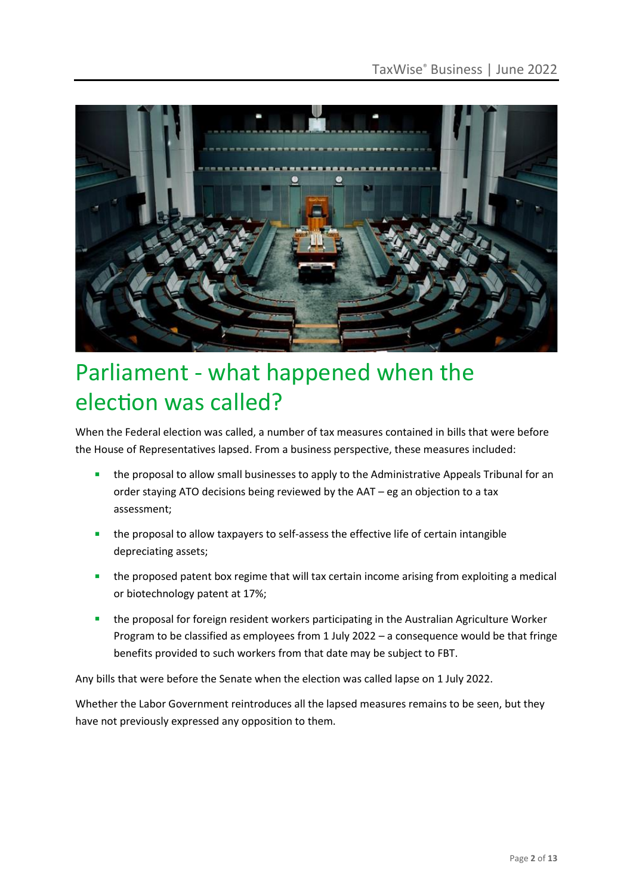

## Parliament - what happened when the election was called?

When the Federal election was called, a number of tax measures contained in bills that were before the House of Representatives lapsed. From a business perspective, these measures included:

- the proposal to allow small businesses to apply to the Administrative Appeals Tribunal for an order staying ATO decisions being reviewed by the AAT – eg an objection to a tax assessment;
- the proposal to allow taxpayers to self-assess the effective life of certain intangible depreciating assets;
- the proposed patent box regime that will tax certain income arising from exploiting a medical or biotechnology patent at 17%;
- the proposal for foreign resident workers participating in the Australian Agriculture Worker Program to be classified as employees from 1 July 2022 – a consequence would be that fringe benefits provided to such workers from that date may be subject to FBT.

Any bills that were before the Senate when the election was called lapse on 1 July 2022.

Whether the Labor Government reintroduces all the lapsed measures remains to be seen, but they have not previously expressed any opposition to them.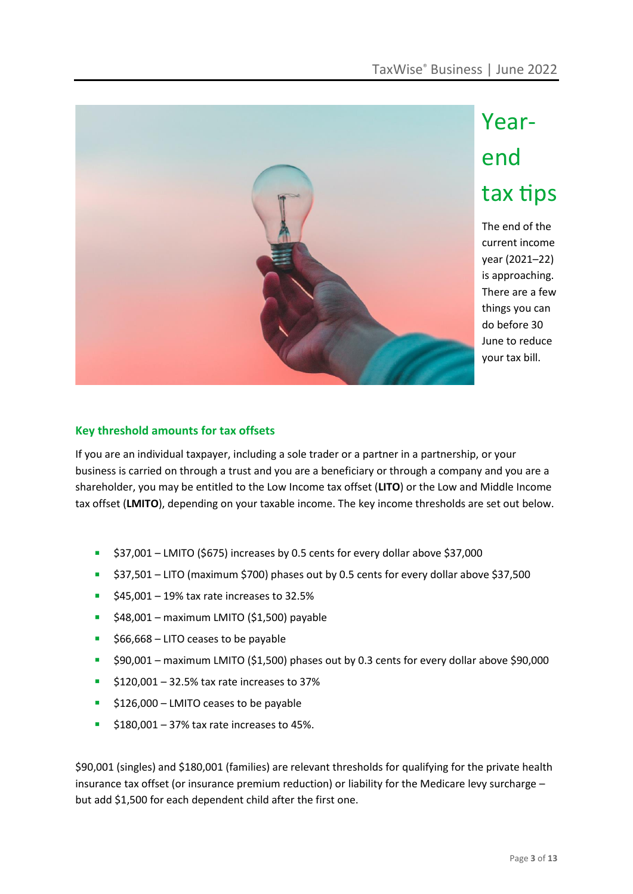

# Yearend tax tips

The end of the current income year (2021–22) is approaching. There are a few things you can do before 30 June to reduce your tax bill.

### **Key threshold amounts for tax offsets**

If you are an individual taxpayer, including a sole trader or a partner in a partnership, or your business is carried on through a trust and you are a beneficiary or through a company and you are a shareholder, you may be entitled to the Low Income tax offset (**LITO**) or the Low and Middle Income tax offset (**LMITO**), depending on your taxable income. The key income thresholds are set out below.

- \$37,001 LMITO (\$675) increases by 0.5 cents for every dollar above \$37,000
- \$37,501 LITO (maximum \$700) phases out by 0.5 cents for every dollar above \$37,500
- $\blacktriangleright$  \$45,001 19% tax rate increases to 32.5%
- $\blacktriangleright$  \$48,001 maximum LMITO (\$1,500) payable
- \$66,668 LITO ceases to be payable
- \$90,001 maximum LMITO (\$1,500) phases out by 0.3 cents for every dollar above \$90,000
- $\blacktriangleright$  \$120,001 32.5% tax rate increases to 37%
- \$126,000 LMITO ceases to be payable
- $\blacktriangleright$  \$180,001 37% tax rate increases to 45%.

\$90,001 (singles) and \$180,001 (families) are relevant thresholds for qualifying for the private health insurance tax offset (or insurance premium reduction) or liability for the Medicare levy surcharge – but add \$1,500 for each dependent child after the first one.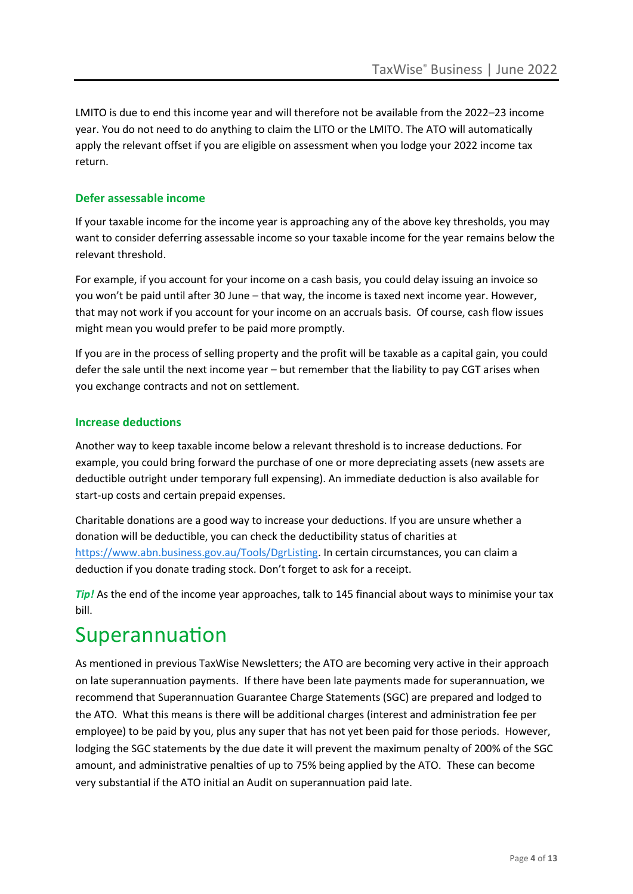LMITO is due to end this income year and will therefore not be available from the 2022–23 income year. You do not need to do anything to claim the LITO or the LMITO. The ATO will automatically apply the relevant offset if you are eligible on assessment when you lodge your 2022 income tax return.

### **Defer assessable income**

If your taxable income for the income year is approaching any of the above key thresholds, you may want to consider deferring assessable income so your taxable income for the year remains below the relevant threshold.

For example, if you account for your income on a cash basis, you could delay issuing an invoice so you won't be paid until after 30 June – that way, the income is taxed next income year. However, that may not work if you account for your income on an accruals basis. Of course, cash flow issues might mean you would prefer to be paid more promptly.

If you are in the process of selling property and the profit will be taxable as a capital gain, you could defer the sale until the next income year – but remember that the liability to pay CGT arises when you exchange contracts and not on settlement.

### **Increase deductions**

Another way to keep taxable income below a relevant threshold is to increase deductions. For example, you could bring forward the purchase of one or more depreciating assets (new assets are deductible outright under temporary full expensing). An immediate deduction is also available for start-up costs and certain prepaid expenses.

Charitable donations are a good way to increase your deductions. If you are unsure whether a donation will be deductible, you can check the deductibility status of charities at [https://www.abn.business.gov.au/Tools/DgrListing.](https://www.abn.business.gov.au/Tools/DgrListing) In certain circumstances, you can claim a deduction if you donate trading stock. Don't forget to ask for a receipt.

*Tip!* As the end of the income year approaches, talk to 145 financial about ways to minimise your tax bill.

### Superannuation

As mentioned in previous TaxWise Newsletters; the ATO are becoming very active in their approach on late superannuation payments. If there have been late payments made for superannuation, we recommend that Superannuation Guarantee Charge Statements (SGC) are prepared and lodged to the ATO. What this means is there will be additional charges (interest and administration fee per employee) to be paid by you, plus any super that has not yet been paid for those periods. However, lodging the SGC statements by the due date it will prevent the maximum penalty of 200% of the SGC amount, and administrative penalties of up to 75% being applied by the ATO. These can become very substantial if the ATO initial an Audit on superannuation paid late.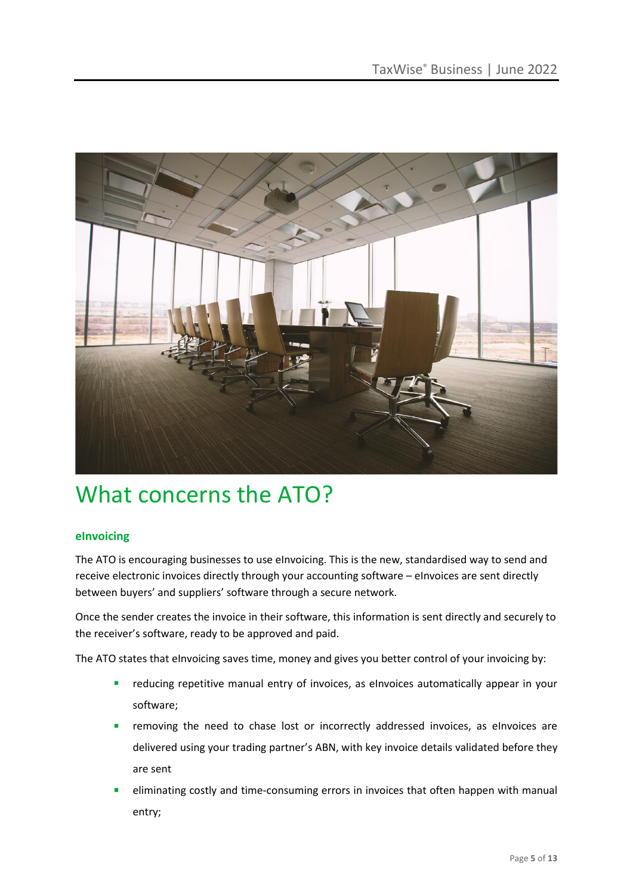

### What concerns the ATO?

### **eInvoicing**

The ATO is encouraging businesses to use eInvoicing. This is the new, standardised way to send and receive electronic invoices directly through your accounting software – eInvoices are sent directly between buyers' and suppliers' software through a secure network.

Once the sender creates the invoice in their software, this information is sent directly and securely to the receiver's software, ready to be approved and paid.

The ATO states that eInvoicing saves time, money and gives you better control of your invoicing by:

- **EXEDENT FEE** reducing repetitive manual entry of invoices, as eInvoices automatically appear in your software;
- **EXP** removing the need to chase lost or incorrectly addressed invoices, as eInvoices are delivered using your trading partner's ABN, with key invoice details validated before they are sent
- eliminating costly and time-consuming errors in invoices that often happen with manual entry;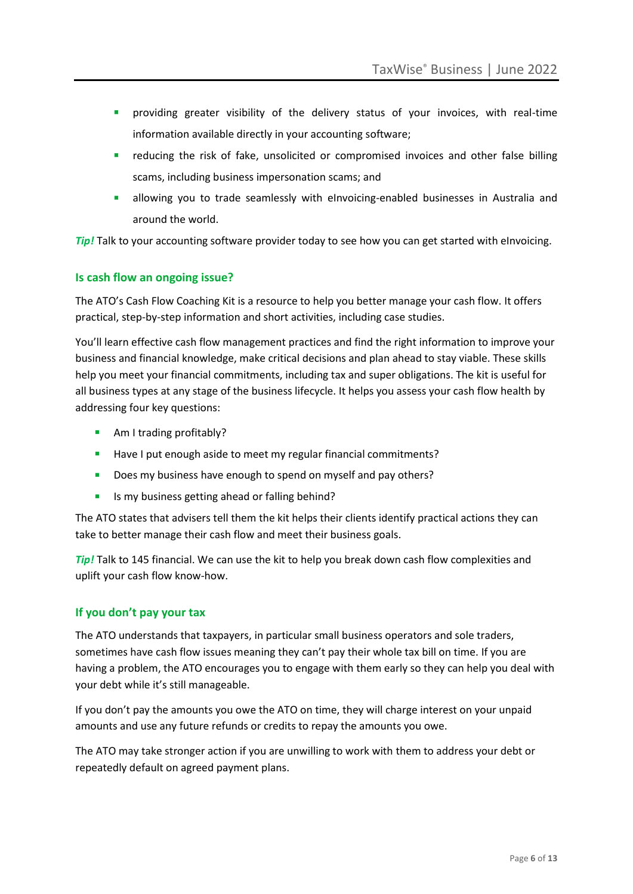- providing greater visibility of the delivery status of your invoices, with real-time information available directly in your accounting software;
- reducing the risk of fake, unsolicited or compromised invoices and other false billing scams, including business impersonation scams; and
- **E** allowing you to trade seamlessly with eInvoicing-enabled businesses in Australia and around the world.

**Tip!** Talk to your accounting software provider today to see how you can get started with eInvoicing.

### **Is cash flow an ongoing issue?**

The ATO's Cash Flow Coaching Kit is a resource to help you better manage your cash flow. It offers practical, step-by-step information and short activities, including case studies.

You'll learn effective cash flow management practices and find the right information to improve your business and financial knowledge, make critical decisions and plan ahead to stay viable. These skills help you meet your financial commitments, including tax and super obligations. The kit is useful for all business types at any stage of the business lifecycle. It helps you assess your cash flow health by addressing four key questions:

- Am I trading profitably?
- Have I put enough aside to meet my regular financial commitments?
- **Does my business have enough to spend on myself and pay others?**
- Is my business getting ahead or falling behind?

The ATO states that advisers tell them the kit helps their clients identify practical actions they can take to better manage their cash flow and meet their business goals.

*Tip!* Talk to 145 financial. We can use the kit to help you break down cash flow complexities and uplift your cash flow know-how.

### **If you don't pay your tax**

The ATO understands that taxpayers, in particular small business operators and sole traders, sometimes have cash flow issues meaning they can't pay their whole tax bill on time. If you are having a problem, the ATO encourages you to engage with them early so they can help you deal with your debt while it's still manageable.

If you don't pay the amounts you owe the ATO on time, they will charge interest on your unpaid amounts and use any future refunds or credits to repay the amounts you owe.

The ATO may take stronger action if you are unwilling to work with them to address your debt or repeatedly default on agreed payment plans.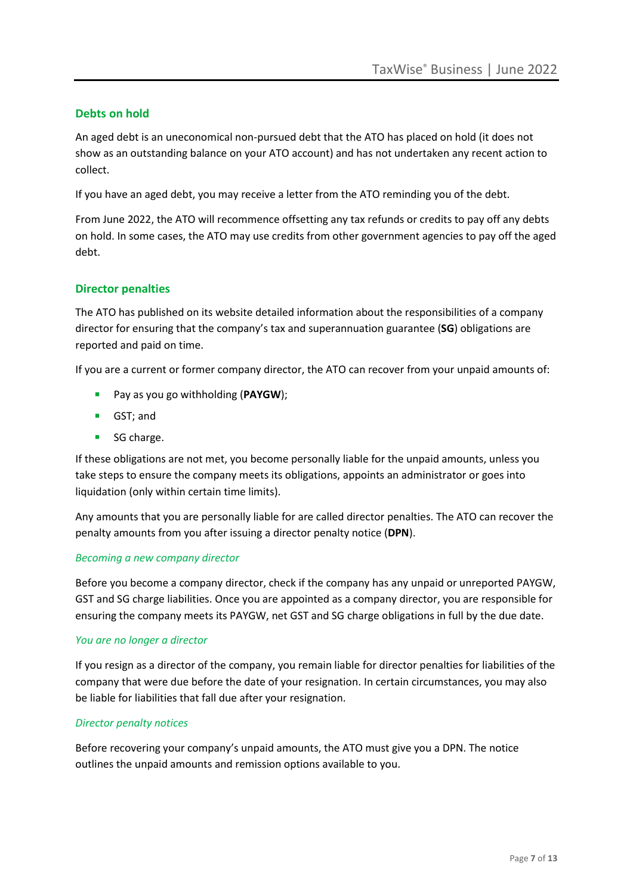### **Debts on hold**

An aged debt is an uneconomical non-pursued debt that the ATO has placed on hold (it does not show as an outstanding balance on your ATO account) and has not undertaken any recent action to collect.

If you have an aged debt, you may receive a letter from the ATO reminding you of the debt.

From June 2022, the ATO will recommence offsetting any tax refunds or credits to pay off any debts on hold. In some cases, the ATO may use credits from other government agencies to pay off the aged debt.

### **Director penalties**

The ATO has published on its website detailed information about the responsibilities of a company director for ensuring that the company's tax and superannuation guarantee (**SG**) obligations are reported and paid on time.

If you are a current or former company director, the ATO can recover from your unpaid amounts of:

- Pay as you go withholding (**PAYGW**);
- GST; and
- SG charge.

If these obligations are not met, you become personally liable for the unpaid amounts, unless you take steps to ensure the company meets its obligations, appoints an administrator or goes into liquidation (only within certain time limits).

Any amounts that you are personally liable for are called director penalties. The ATO can recover the penalty amounts from you after issuing a director penalty notice (**DPN**).

#### *Becoming a new company director*

Before you become a company director, check if the company has any unpaid or unreported PAYGW, GST and SG charge liabilities. Once you are appointed as a company director, you are responsible for ensuring the company meets its PAYGW, net GST and SG charge obligations in full by the due date.

#### *You are no longer a director*

If you resign as a director of the company, you remain liable for director penalties for liabilities of the company that were due before the date of your resignation. In certain circumstances, you may also be liable for liabilities that fall due after your resignation.

### *Director penalty notices*

Before recovering your company's unpaid amounts, the ATO must give you a DPN. The notice outlines the unpaid amounts and remission options available to you.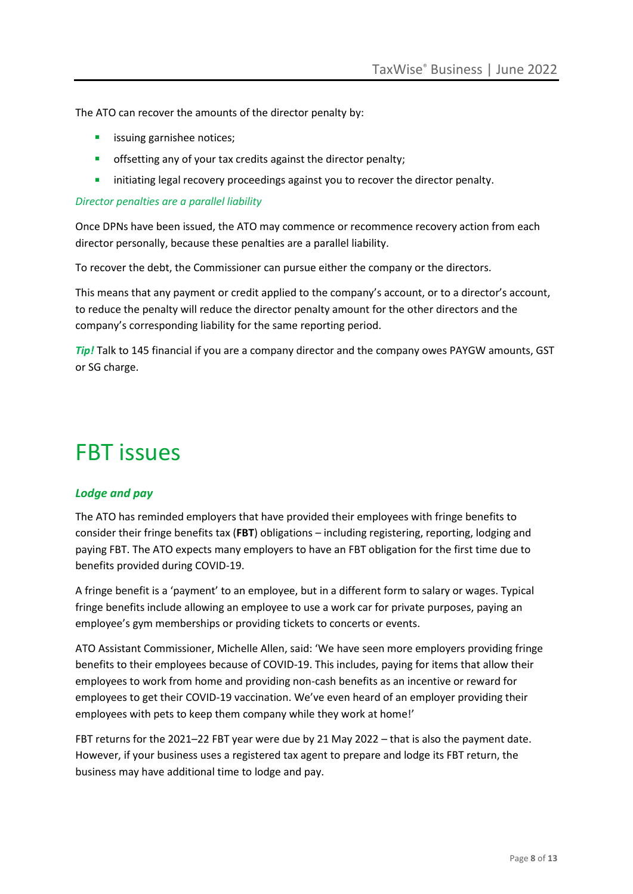The ATO can recover the amounts of the director penalty by:

- **■** issuing garnishee notices;
- **•** offsetting any of your tax credits against the director penalty:
- **E** initiating legal recovery proceedings against you to recover the director penalty.

### *Director penalties are a parallel liability*

Once DPNs have been issued, the ATO may commence or recommence recovery action from each director personally, because these penalties are a parallel liability.

To recover the debt, the Commissioner can pursue either the company or the directors.

This means that any payment or credit applied to the company's account, or to a director's account, to reduce the penalty will reduce the director penalty amount for the other directors and the company's corresponding liability for the same reporting period.

*Tip!* Talk to 145 financial if you are a company director and the company owes PAYGW amounts, GST or SG charge.

### FBT issues

### *Lodge and pay*

The ATO has reminded employers that have provided their employees with fringe benefits to consider their fringe benefits tax (**FBT**) obligations – including registering, reporting, lodging and paying FBT. The ATO expects many employers to have an FBT obligation for the first time due to benefits provided during COVID-19.

A fringe benefit is a 'payment' to an employee, but in a different form to salary or wages. Typical fringe benefits include allowing an employee to use a work car for private purposes, paying an employee's gym memberships or providing tickets to concerts or events.

ATO Assistant Commissioner, Michelle Allen, said: 'We have seen more employers providing fringe benefits to their employees because of COVID-19. This includes, paying for items that allow their employees to work from home and providing non-cash benefits as an incentive or reward for employees to get their COVID-19 vaccination. We've even heard of an employer providing their employees with pets to keep them company while they work at home!'

FBT returns for the 2021–22 FBT year were due by 21 May 2022 – that is also the payment date. However, if your business uses a registered tax agent to prepare and lodge its FBT return, the business may have additional time to lodge and pay.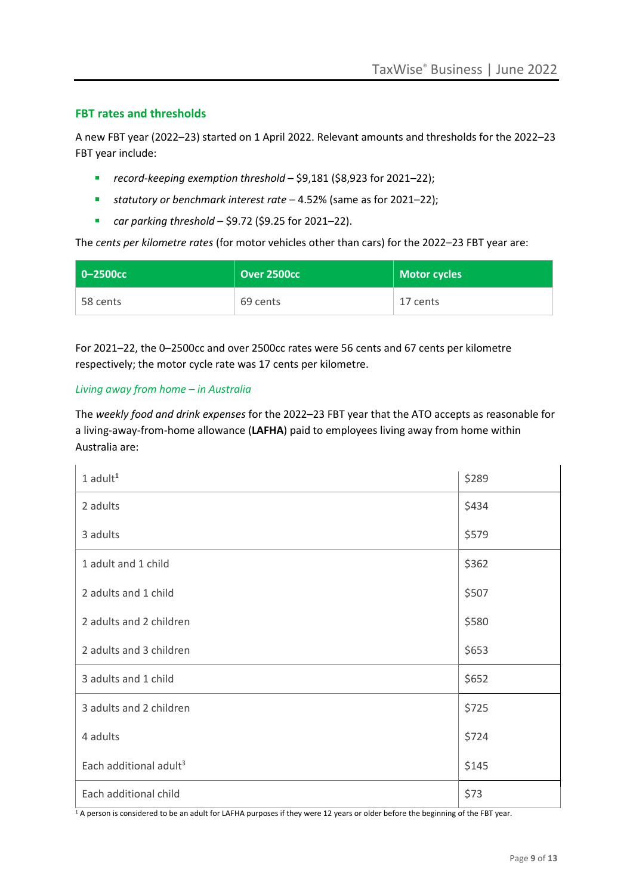### **FBT rates and thresholds**

A new FBT year (2022–23) started on 1 April 2022. Relevant amounts and thresholds for the 2022–23 FBT year include:

- *record-keeping exemption threshold* \$9,181 (\$8,923 for 2021–22);
- *statutory or benchmark interest rate* 4.52% (same as for 2021–22);
- *car parking threshold* \$9.72 (\$9.25 for 2021–22).

The *cents per kilometre rates* (for motor vehicles other than cars) for the 2022–23 FBT year are:

| $\blacksquare$ 0-2500 $\rm cc$ | Over 2500cc | Motor cycles |
|--------------------------------|-------------|--------------|
| 58 cents                       | 69 cents    | 17 cents     |

For 2021–22, the 0–2500cc and over 2500cc rates were 56 cents and 67 cents per kilometre respectively; the motor cycle rate was 17 cents per kilometre.

### *Living away from home – in Australia*

The *weekly food and drink expenses* for the 2022–23 FBT year that the ATO accepts as reasonable for a living-away-from-home allowance (**LAFHA**) paid to employees living away from home within Australia are:

| $1$ adult $1$                      | \$289 |
|------------------------------------|-------|
| 2 adults                           | \$434 |
| 3 adults                           | \$579 |
| 1 adult and 1 child                | \$362 |
| 2 adults and 1 child               | \$507 |
| 2 adults and 2 children            | \$580 |
| 2 adults and 3 children            | \$653 |
| 3 adults and 1 child               | \$652 |
| 3 adults and 2 children            | \$725 |
| 4 adults                           | \$724 |
| Each additional adult <sup>3</sup> | \$145 |
| Each additional child              | \$73  |

 $1$  A person is considered to be an adult for LAFHA purposes if they were 12 years or older before the beginning of the FBT year.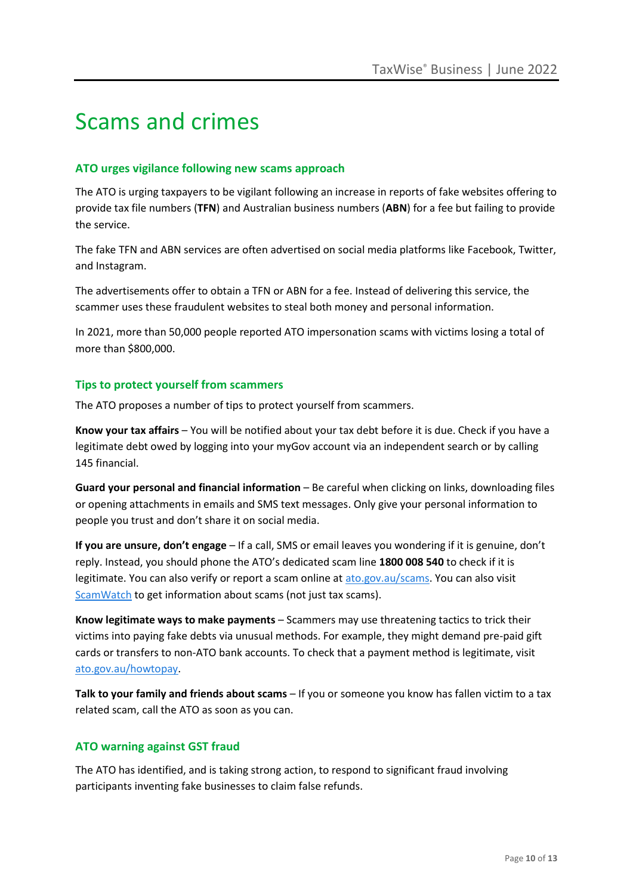### Scams and crimes

### **ATO urges vigilance following new scams approach**

The ATO is urging taxpayers to be vigilant following an increase in reports of fake websites offering to provide tax file numbers (**TFN**) and Australian business numbers (**ABN**) for a fee but failing to provide the service.

The fake TFN and ABN services are often advertised on social media platforms like Facebook, Twitter, and Instagram.

The advertisements offer to obtain a TFN or ABN for a fee. Instead of delivering this service, the scammer uses these fraudulent websites to steal both money and personal information.

In 2021, more than 50,000 people reported ATO impersonation scams with victims losing a total of more than \$800,000.

### **Tips to protect yourself from scammers**

The ATO proposes a number of tips to protect yourself from scammers.

**Know your tax affairs** – You will be notified about your tax debt before it is due. Check if you have a legitimate debt owed by logging into your myGov account via an independent search or by calling 145 financial.

**Guard your personal and financial information** – Be careful when clicking on links, downloading files or opening attachments in emails and SMS text messages. Only give your personal information to people you trust and don't share it on social media.

**If you are unsure, don't engage** – If a call, SMS or email leaves you wondering if it is genuine, don't reply. Instead, you should phone the ATO's dedicated scam line **1800 008 540** to check if it is legitimate. You can also verify or report a scam online at [ato.gov.au/scams.](http://www.ato.gov.au/scams) You can also visit [ScamWatch](https://www.scamwatch.gov.au/) to get information about scams (not just tax scams).

**Know legitimate ways to make payments** – Scammers may use threatening tactics to trick their victims into paying fake debts via unusual methods. For example, they might demand pre-paid gift cards or transfers to non-ATO bank accounts. To check that a payment method is legitimate, visit [ato.gov.au/howtopay.](http://www.ato.gov.au/howtopay)

**Talk to your family and friends about scams** – If you or someone you know has fallen victim to a tax related scam, call the ATO as soon as you can.

### **ATO warning against GST fraud**

The ATO has identified, and is taking strong action, to respond to significant fraud involving participants inventing fake businesses to claim false refunds.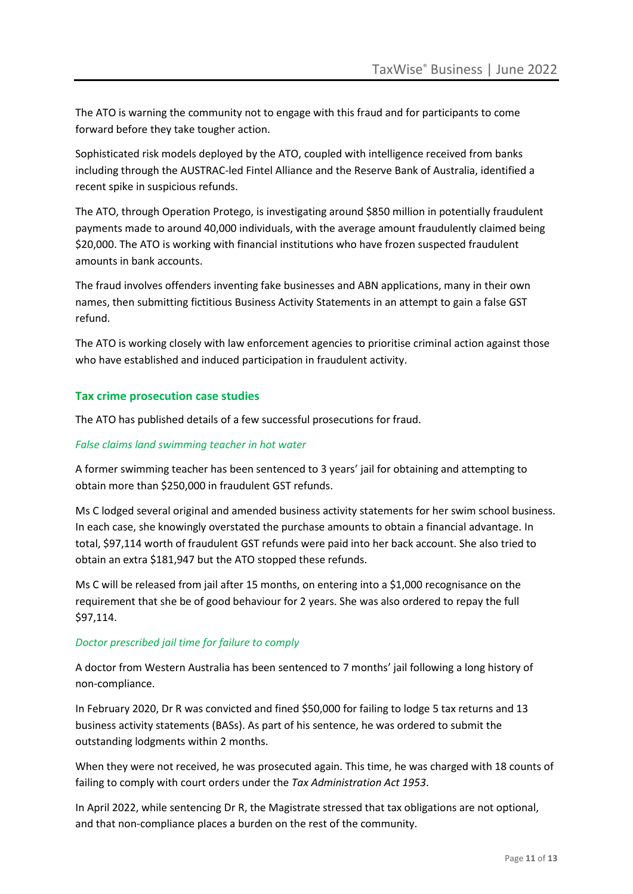The ATO is warning the community not to engage with this fraud and for participants to come forward before they take tougher action.

Sophisticated risk models deployed by the ATO, coupled with intelligence received from banks including through the AUSTRAC-led Fintel Alliance and the Reserve Bank of Australia, identified a recent spike in suspicious refunds.

The ATO, through Operation Protego, is investigating around \$850 million in potentially fraudulent payments made to around 40,000 individuals, with the average amount fraudulently claimed being \$20,000. The ATO is working with financial institutions who have frozen suspected fraudulent amounts in bank accounts.

The fraud involves offenders inventing fake businesses and ABN applications, many in their own names, then submitting fictitious Business Activity Statements in an attempt to gain a false GST refund.

The ATO is working closely with law enforcement agencies to prioritise criminal action against those who have established and induced participation in fraudulent activity.

### **Tax crime prosecution case studies**

The ATO has published details of a few successful prosecutions for fraud.

### *False claims land swimming teacher in hot water*

A former swimming teacher has been sentenced to 3 years' jail for obtaining and attempting to obtain more than \$250,000 in fraudulent GST refunds.

Ms C lodged several original and amended business activity statements for her swim school business. In each case, she knowingly overstated the purchase amounts to obtain a financial advantage. In total, \$97,114 worth of fraudulent GST refunds were paid into her back account. She also tried to obtain an extra \$181,947 but the ATO stopped these refunds.

Ms C will be released from jail after 15 months, on entering into a \$1,000 recognisance on the requirement that she be of good behaviour for 2 years. She was also ordered to repay the full \$97,114.

### *Doctor prescribed jail time for failure to comply*

A doctor from Western Australia has been sentenced to 7 months' jail following a long history of non-compliance.

In February 2020, Dr R was convicted and fined \$50,000 for failing to lodge 5 tax returns and 13 business activity statements (BASs). As part of his sentence, he was ordered to submit the outstanding lodgments within 2 months.

When they were not received, he was prosecuted again. This time, he was charged with 18 counts of failing to comply with court orders under the *Tax Administration Act 1953*.

In April 2022, while sentencing Dr R, the Magistrate stressed that tax obligations are not optional, and that non-compliance places a burden on the rest of the community.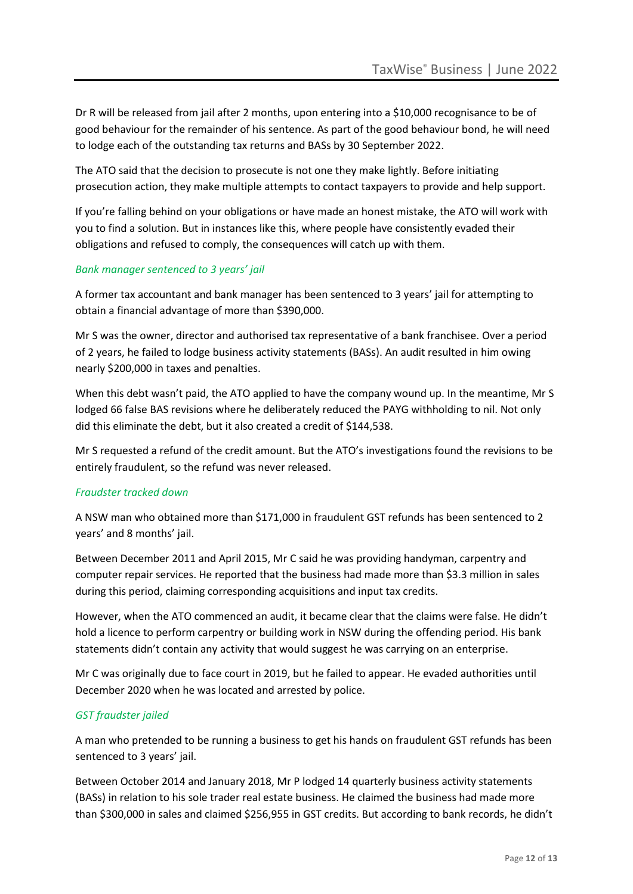Dr R will be released from jail after 2 months, upon entering into a \$10,000 recognisance to be of good behaviour for the remainder of his sentence. As part of the good behaviour bond, he will need to lodge each of the outstanding tax returns and BASs by 30 September 2022.

The ATO said that the decision to prosecute is not one they make lightly. Before initiating prosecution action, they make multiple attempts to contact taxpayers to provide and help support.

If you're falling behind on your obligations or have made an honest mistake, the ATO will work with you to find a solution. But in instances like this, where people have consistently evaded their obligations and refused to comply, the consequences will catch up with them.

### *Bank manager sentenced to 3 years' jail*

A former tax accountant and bank manager has been sentenced to 3 years' jail for attempting to obtain a financial advantage of more than \$390,000.

Mr S was the owner, director and authorised tax representative of a bank franchisee. Over a period of 2 years, he failed to lodge business activity statements (BASs). An audit resulted in him owing nearly \$200,000 in taxes and penalties.

When this debt wasn't paid, the ATO applied to have the company wound up. In the meantime, Mr S lodged 66 false BAS revisions where he deliberately reduced the PAYG withholding to nil. Not only did this eliminate the debt, but it also created a credit of \$144,538.

Mr S requested a refund of the credit amount. But the ATO's investigations found the revisions to be entirely fraudulent, so the refund was never released.

### *Fraudster tracked down*

A NSW man who obtained more than \$171,000 in fraudulent GST refunds has been sentenced to 2 years' and 8 months' jail.

Between December 2011 and April 2015, Mr C said he was providing handyman, carpentry and computer repair services. He reported that the business had made more than \$3.3 million in sales during this period, claiming corresponding acquisitions and input tax credits.

However, when the ATO commenced an audit, it became clear that the claims were false. He didn't hold a licence to perform carpentry or building work in NSW during the offending period. His bank statements didn't contain any activity that would suggest he was carrying on an enterprise.

Mr C was originally due to face court in 2019, but he failed to appear. He evaded authorities until December 2020 when he was located and arrested by police.

### *GST fraudster jailed*

A man who pretended to be running a business to get his hands on fraudulent GST refunds has been sentenced to 3 years' jail.

Between October 2014 and January 2018, Mr P lodged 14 quarterly business activity statements (BASs) in relation to his sole trader real estate business. He claimed the business had made more than \$300,000 in sales and claimed \$256,955 in GST credits. But according to bank records, he didn't